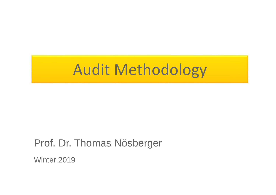# Audit Methodology

#### Prof. Dr. Thomas Nösberger

Winter 2019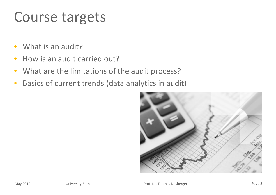### Course targets

- What is an audit?
- How is an audit carried out?
- What are the limitations of the audit process?
- Basics of current trends (data analytics in audit)

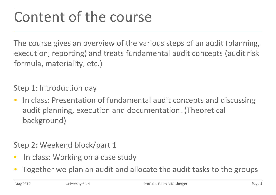### Content of the course

The course gives an overview of the various steps of an audit (planning, execution, reporting) and treats fundamental audit concepts (audit risk formula, materiality, etc.)

Step 1: Introduction day

• In class: Presentation of fundamental audit concepts and discussing audit planning, execution and documentation. (Theoretical background)

#### Step 2: Weekend block/part 1

- In class: Working on a case study
- Together we plan an audit and allocate the audit tasks to the groups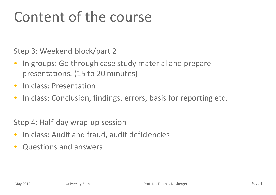### Content of the course

Step 3: Weekend block/part 2

- In groups: Go through case study material and prepare presentations. (15 to 20 minutes)
- In class: Presentation
- In class: Conclusion, findings, errors, basis for reporting etc.

Step 4: Half-day wrap-up session

- In class: Audit and fraud, audit deficiencies
- Questions and answers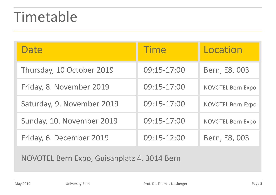### Timetable

| Date                       | <b>Time</b> | Location                 |
|----------------------------|-------------|--------------------------|
| Thursday, 10 October 2019  | 09:15-17:00 | Bern, E8, 003            |
| Friday, 8. November 2019   | 09:15-17:00 | <b>NOVOTEL Bern Expo</b> |
| Saturday, 9. November 2019 | 09:15-17:00 | <b>NOVOTEL Bern Expo</b> |
| Sunday, 10. November 2019  | 09:15-17:00 | <b>NOVOTEL Bern Expo</b> |
| Friday, 6. December 2019   | 09:15-12:00 | Bern, E8, 003            |

NOVOTEL Bern Expo, Guisanplatz 4, 3014 Bern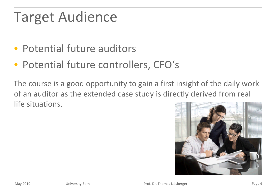## Target Audience

- Potential future auditors
- Potential future controllers, CFO's

The course is a good opportunity to gain a first insight of the daily work of an auditor as the extended case study is directly derived from real life situations.

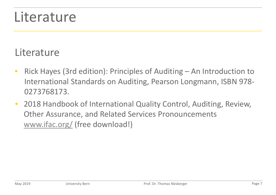#### Literature

#### **Literature**

- Rick Hayes (3rd edition): Principles of Auditing An Introduction to International Standards on Auditing, Pearson Longmann, ISBN 978- 0273768173.
- 2018 Handbook of International Quality Control, Auditing, Review, Other Assurance, and Related Services Pronouncements www.ifac.org/ (free download!)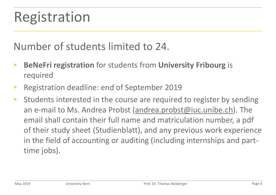#### Number of students limited to 24.

- **BeNeFri registration** for students from **University Fribourg** is required
- Registration deadline: end of September 2019
- Students interested in the course are required to register by sending an e-mail to Ms. Andrea Probst (andrea.probst@iuc.unibe.ch). The email shall contain their full name and matriculation number, a pdf of their study sheet (Studienblatt), and any previous work experience in the field of accounting or auditing (including internships and parttime jobs).